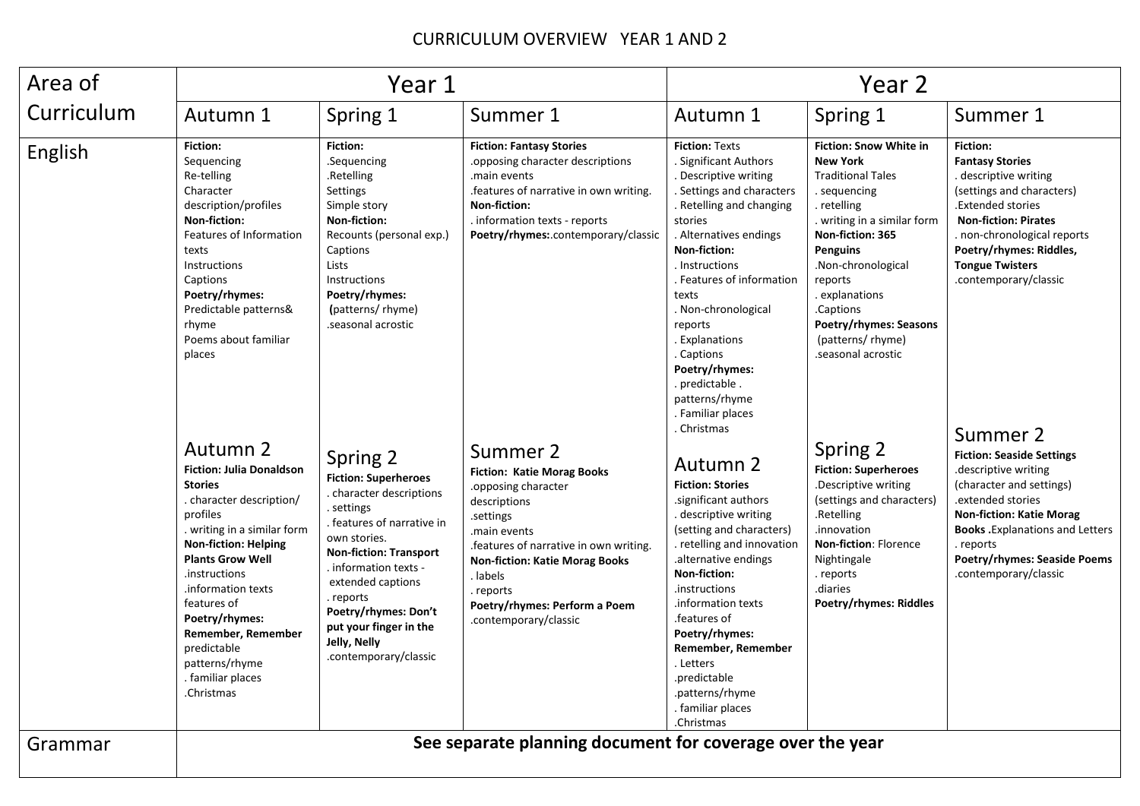## CURRICULUM OVERVIEW YEAR 1 AND 2

| Area of    | Year 1                                                                                                                                                                                                                                                                                                                                                           |                                                                                                                                                                                                                                                                                                                        |                                                                                                                                                                                                                                                                                       | Year 2                                                                                                                                                                                                                                                                                                                                                                                                       |                                                                                                                                                                                                                                                                                                                            |                                                                                                                                                                                                                                                                                  |
|------------|------------------------------------------------------------------------------------------------------------------------------------------------------------------------------------------------------------------------------------------------------------------------------------------------------------------------------------------------------------------|------------------------------------------------------------------------------------------------------------------------------------------------------------------------------------------------------------------------------------------------------------------------------------------------------------------------|---------------------------------------------------------------------------------------------------------------------------------------------------------------------------------------------------------------------------------------------------------------------------------------|--------------------------------------------------------------------------------------------------------------------------------------------------------------------------------------------------------------------------------------------------------------------------------------------------------------------------------------------------------------------------------------------------------------|----------------------------------------------------------------------------------------------------------------------------------------------------------------------------------------------------------------------------------------------------------------------------------------------------------------------------|----------------------------------------------------------------------------------------------------------------------------------------------------------------------------------------------------------------------------------------------------------------------------------|
| Curriculum | Autumn 1                                                                                                                                                                                                                                                                                                                                                         | Spring 1                                                                                                                                                                                                                                                                                                               | Summer 1                                                                                                                                                                                                                                                                              | Autumn 1                                                                                                                                                                                                                                                                                                                                                                                                     | Spring 1                                                                                                                                                                                                                                                                                                                   | Summer 1                                                                                                                                                                                                                                                                         |
| English    | <b>Fiction:</b><br>Sequencing<br>Re-telling<br>Character<br>description/profiles<br>Non-fiction:<br>Features of Information<br>texts<br>Instructions<br>Captions<br>Poetry/rhymes:<br>Predictable patterns&<br>rhyme<br>Poems about familiar<br>places                                                                                                           | <b>Fiction:</b><br>.Sequencing<br>.Retelling<br>Settings<br>Simple story<br>Non-fiction:<br>Recounts (personal exp.)<br>Captions<br>Lists<br>Instructions<br>Poetry/rhymes:<br>(patterns/rhyme)<br>.seasonal acrostic                                                                                                  | <b>Fiction: Fantasy Stories</b><br>opposing character descriptions.<br>main events.<br>features of narrative in own writing.<br>Non-fiction:<br>information texts - reports<br>Poetry/rhymes:.contemporary/classic                                                                    | <b>Fiction: Texts</b><br>. Significant Authors<br>. Descriptive writing<br>. Settings and characters<br>. Retelling and changing<br>stories<br>Alternatives endings<br>Non-fiction:<br>. Instructions<br>. Features of information<br>texts<br>. Non-chronological<br>reports<br><b>Explanations</b><br>. Captions<br>Poetry/rhymes:<br>. predictable.<br>patterns/rhyme<br>. Familiar places<br>. Christmas | <b>Fiction: Snow White in</b><br><b>New York</b><br><b>Traditional Tales</b><br>. sequencing<br>. retelling<br>. writing in a similar form<br>Non-fiction: 365<br><b>Penguins</b><br>.Non-chronological<br>reports<br>explanations<br>.Captions<br><b>Poetry/rhymes: Seasons</b><br>(patterns/rhyme)<br>.seasonal acrostic | Fiction:<br><b>Fantasy Stories</b><br>. descriptive writing<br>(settings and characters)<br>.Extended stories<br><b>Non-fiction: Pirates</b><br>. non-chronological reports<br>Poetry/rhymes: Riddles,<br><b>Tongue Twisters</b><br>.contemporary/classic                        |
|            | Autumn 2<br><b>Fiction: Julia Donaldson</b><br><b>Stories</b><br>. character description/<br>profiles<br>. writing in a similar form<br><b>Non-fiction: Helping</b><br><b>Plants Grow Well</b><br>.instructions<br>information texts.<br>features of<br>Poetry/rhymes:<br>Remember, Remember<br>predictable<br>patterns/rhyme<br>. familiar places<br>.Christmas | Spring 2<br><b>Fiction: Superheroes</b><br>. character descriptions<br>. settings<br>. features of narrative in<br>own stories.<br><b>Non-fiction: Transport</b><br>. information texts -<br>extended captions<br>. reports<br>Poetry/rhymes: Don't<br>put your finger in the<br>Jelly, Nelly<br>.contemporary/classic | Summer 2<br><b>Fiction: Katie Morag Books</b><br>.opposing character<br>descriptions<br>.settings<br>main events.<br>.features of narrative in own writing.<br><b>Non-fiction: Katie Morag Books</b><br>. labels<br>reports<br>Poetry/rhymes: Perform a Poem<br>.contemporary/classic | Autumn 2<br><b>Fiction: Stories</b><br>.significant authors<br>. descriptive writing<br>(setting and characters)<br>. retelling and innovation<br>.alternative endings<br>Non-fiction:<br>.instructions<br>information texts.<br>.features of<br>Poetry/rhymes:<br>Remember, Remember<br>. Letters<br>.predictable<br>.patterns/rhyme<br>. familiar places<br>.Christmas                                     | Spring 2<br><b>Fiction: Superheroes</b><br>.Descriptive writing<br>(settings and characters)<br>.Retelling<br>.innovation<br>Non-fiction: Florence<br>Nightingale<br>. reports<br>diaries.<br><b>Poetry/rhymes: Riddles</b>                                                                                                | Summer 2<br><b>Fiction: Seaside Settings</b><br>.descriptive writing<br>(character and settings)<br>.extended stories<br><b>Non-fiction: Katie Morag</b><br><b>Books</b> . Explanations and Letters<br>. reports<br><b>Poetry/rhymes: Seaside Poems</b><br>.contemporary/classic |
| Grammar    | See separate planning document for coverage over the year                                                                                                                                                                                                                                                                                                        |                                                                                                                                                                                                                                                                                                                        |                                                                                                                                                                                                                                                                                       |                                                                                                                                                                                                                                                                                                                                                                                                              |                                                                                                                                                                                                                                                                                                                            |                                                                                                                                                                                                                                                                                  |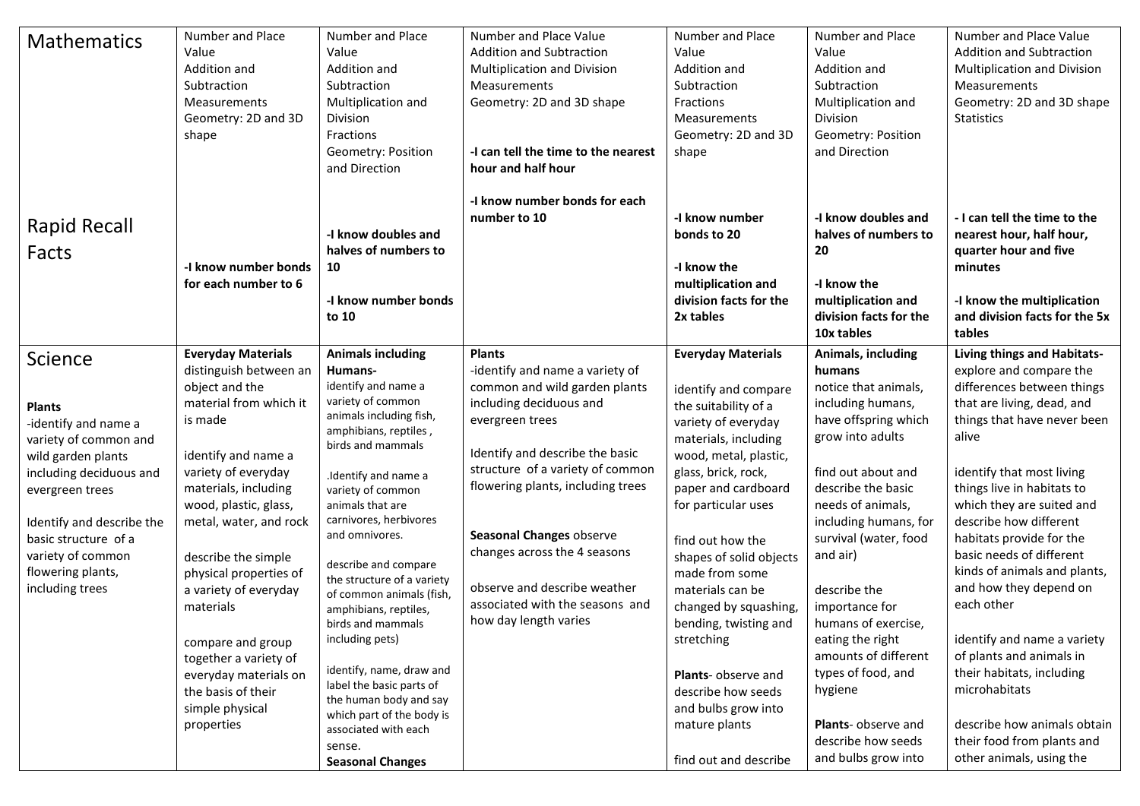| <b>Mathematics</b>                                                                                                                                                                                                                                              | Number and Place<br>Value<br>Addition and<br>Subtraction<br>Measurements<br>Geometry: 2D and 3D<br>shape                                                                                                                                                                                                                                                                                                                                                 | Number and Place<br>Value<br>Addition and<br>Subtraction<br>Multiplication and<br><b>Division</b><br>Fractions<br>Geometry: Position<br>and Direction                                                                                                                                                                                                                                                                                                                                                                                                                                                | Number and Place Value<br><b>Addition and Subtraction</b><br>Multiplication and Division<br>Measurements<br>Geometry: 2D and 3D shape<br>-I can tell the time to the nearest<br>hour and half hour                                                                                                                                                                                                  | Number and Place<br>Value<br>Addition and<br>Subtraction<br>Fractions<br>Measurements<br>Geometry: 2D and 3D<br>shape                                                                                                                                                                                                                                                                                                                                                                     | Number and Place<br>Value<br>Addition and<br>Subtraction<br>Multiplication and<br><b>Division</b><br>Geometry: Position<br>and Direction                                                                                                                                                                                                                                                                                                                       | Number and Place Value<br><b>Addition and Subtraction</b><br>Multiplication and Division<br>Measurements<br>Geometry: 2D and 3D shape<br><b>Statistics</b>                                                                                                                                                                                                                                                                                                                                                                                                                                                     |
|-----------------------------------------------------------------------------------------------------------------------------------------------------------------------------------------------------------------------------------------------------------------|----------------------------------------------------------------------------------------------------------------------------------------------------------------------------------------------------------------------------------------------------------------------------------------------------------------------------------------------------------------------------------------------------------------------------------------------------------|------------------------------------------------------------------------------------------------------------------------------------------------------------------------------------------------------------------------------------------------------------------------------------------------------------------------------------------------------------------------------------------------------------------------------------------------------------------------------------------------------------------------------------------------------------------------------------------------------|-----------------------------------------------------------------------------------------------------------------------------------------------------------------------------------------------------------------------------------------------------------------------------------------------------------------------------------------------------------------------------------------------------|-------------------------------------------------------------------------------------------------------------------------------------------------------------------------------------------------------------------------------------------------------------------------------------------------------------------------------------------------------------------------------------------------------------------------------------------------------------------------------------------|----------------------------------------------------------------------------------------------------------------------------------------------------------------------------------------------------------------------------------------------------------------------------------------------------------------------------------------------------------------------------------------------------------------------------------------------------------------|----------------------------------------------------------------------------------------------------------------------------------------------------------------------------------------------------------------------------------------------------------------------------------------------------------------------------------------------------------------------------------------------------------------------------------------------------------------------------------------------------------------------------------------------------------------------------------------------------------------|
| <b>Rapid Recall</b><br>Facts                                                                                                                                                                                                                                    | -I know number bonds<br>for each number to 6                                                                                                                                                                                                                                                                                                                                                                                                             | -I know doubles and<br>halves of numbers to<br>10<br>-I know number bonds<br>to 10                                                                                                                                                                                                                                                                                                                                                                                                                                                                                                                   | -I know number bonds for each<br>number to 10                                                                                                                                                                                                                                                                                                                                                       | -I know number<br>bonds to 20<br>-I know the<br>multiplication and<br>division facts for the<br>2x tables                                                                                                                                                                                                                                                                                                                                                                                 | -I know doubles and<br>halves of numbers to<br>20<br>-I know the<br>multiplication and<br>division facts for the<br>10x tables                                                                                                                                                                                                                                                                                                                                 | - I can tell the time to the<br>nearest hour, half hour,<br>quarter hour and five<br>minutes<br>-I know the multiplication<br>and division facts for the 5x<br>tables                                                                                                                                                                                                                                                                                                                                                                                                                                          |
| Science<br><b>Plants</b><br>-identify and name a<br>variety of common and<br>wild garden plants<br>including deciduous and<br>evergreen trees<br>Identify and describe the<br>basic structure of a<br>variety of common<br>flowering plants,<br>including trees | <b>Everyday Materials</b><br>distinguish between an<br>object and the<br>material from which it<br>is made<br>identify and name a<br>variety of everyday<br>materials, including<br>wood, plastic, glass,<br>metal, water, and rock<br>describe the simple<br>physical properties of<br>a variety of everyday<br>materials<br>compare and group<br>together a variety of<br>everyday materials on<br>the basis of their<br>simple physical<br>properties | <b>Animals including</b><br>Humans-<br>identify and name a<br>variety of common<br>animals including fish,<br>amphibians, reptiles,<br>birds and mammals<br>.Identify and name a<br>variety of common<br>animals that are<br>carnivores, herbivores<br>and omnivores.<br>describe and compare<br>the structure of a variety<br>of common animals (fish,<br>amphibians, reptiles,<br>birds and mammals<br>including pets)<br>identify, name, draw and<br>label the basic parts of<br>the human body and say<br>which part of the body is<br>associated with each<br>sense.<br><b>Seasonal Changes</b> | <b>Plants</b><br>-identify and name a variety of<br>common and wild garden plants<br>including deciduous and<br>evergreen trees<br>Identify and describe the basic<br>structure of a variety of common<br>flowering plants, including trees<br>Seasonal Changes observe<br>changes across the 4 seasons<br>observe and describe weather<br>associated with the seasons and<br>how day length varies | <b>Everyday Materials</b><br>identify and compare<br>the suitability of a<br>variety of everyday<br>materials, including<br>wood, metal, plastic,<br>glass, brick, rock,<br>paper and cardboard<br>for particular uses<br>find out how the<br>shapes of solid objects<br>made from some<br>materials can be<br>changed by squashing,<br>bending, twisting and<br>stretching<br>Plants- observe and<br>describe how seeds<br>and bulbs grow into<br>mature plants<br>find out and describe | Animals, including<br>humans<br>notice that animals,<br>including humans,<br>have offspring which<br>grow into adults<br>find out about and<br>describe the basic<br>needs of animals,<br>including humans, for<br>survival (water, food<br>and air)<br>describe the<br>importance for<br>humans of exercise,<br>eating the right<br>amounts of different<br>types of food, and<br>hygiene<br>Plants- observe and<br>describe how seeds<br>and bulbs grow into | Living things and Habitats-<br>explore and compare the<br>differences between things<br>that are living, dead, and<br>things that have never been<br>alive<br>identify that most living<br>things live in habitats to<br>which they are suited and<br>describe how different<br>habitats provide for the<br>basic needs of different<br>kinds of animals and plants,<br>and how they depend on<br>each other<br>identify and name a variety<br>of plants and animals in<br>their habitats, including<br>microhabitats<br>describe how animals obtain<br>their food from plants and<br>other animals, using the |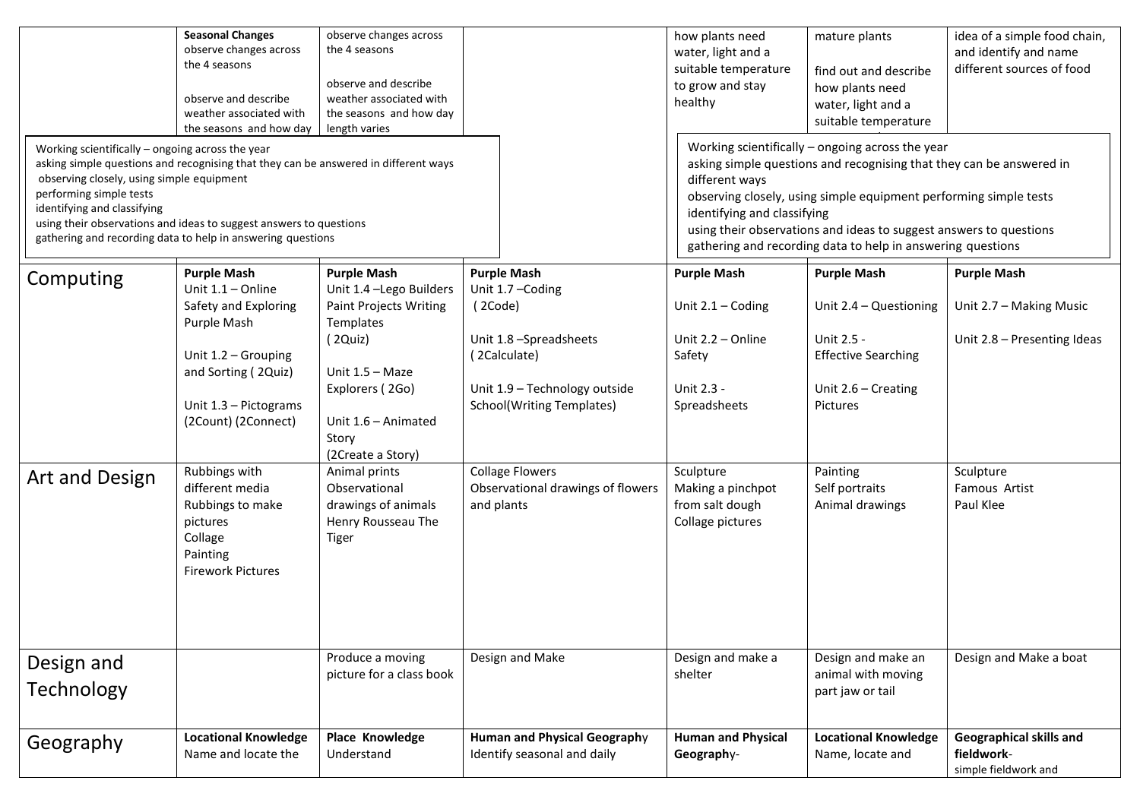| Working scientifically - ongoing across the year<br>asking simple questions and recognising that they can be answered in different ways<br>observing closely, using simple equipment<br>performing simple tests<br>identifying and classifying<br>using their observations and ideas to suggest answers to questions<br>gathering and recording data to help in answering questions | <b>Seasonal Changes</b><br>observe changes across<br>the 4 seasons<br>observe and describe<br>weather associated with<br>the seasons and how day                               | observe changes across<br>the 4 seasons<br>observe and describe<br>weather associated with<br>the seasons and how day<br>length varies                                                                      |                                                                                                                                                            | how plants need<br>water, light and a<br>suitable temperature<br>to grow and stay<br>healthy<br>different ways<br>identifying and classifying | mature plants<br>find out and describe<br>how plants need<br>water, light and a<br>suitable temperature<br>Working scientifically - ongoing across the year<br>asking simple questions and recognising that they can be answered in<br>observing closely, using simple equipment performing simple tests<br>using their observations and ideas to suggest answers to questions<br>gathering and recording data to help in answering questions | idea of a simple food chain,<br>and identify and name<br>different sources of food |
|-------------------------------------------------------------------------------------------------------------------------------------------------------------------------------------------------------------------------------------------------------------------------------------------------------------------------------------------------------------------------------------|--------------------------------------------------------------------------------------------------------------------------------------------------------------------------------|-------------------------------------------------------------------------------------------------------------------------------------------------------------------------------------------------------------|------------------------------------------------------------------------------------------------------------------------------------------------------------|-----------------------------------------------------------------------------------------------------------------------------------------------|-----------------------------------------------------------------------------------------------------------------------------------------------------------------------------------------------------------------------------------------------------------------------------------------------------------------------------------------------------------------------------------------------------------------------------------------------|------------------------------------------------------------------------------------|
| Computing                                                                                                                                                                                                                                                                                                                                                                           | <b>Purple Mash</b><br>Unit $1.1 -$ Online<br>Safety and Exploring<br>Purple Mash<br>Unit 1.2 - Grouping<br>and Sorting (2Quiz)<br>Unit 1.3 - Pictograms<br>(2Count) (2Connect) | <b>Purple Mash</b><br>Unit 1.4 - Lego Builders<br><b>Paint Projects Writing</b><br>Templates<br>(2Quiz)<br>Unit $1.5 - \text{Maze}$<br>Explorers (2Go)<br>Unit 1.6 - Animated<br>Story<br>(2Create a Story) | <b>Purple Mash</b><br>Unit 1.7 - Coding<br>(2Code)<br>Unit 1.8 -Spreadsheets<br>(2Calculate)<br>Unit 1.9 - Technology outside<br>School(Writing Templates) | <b>Purple Mash</b><br>Unit $2.1 -$ Coding<br>Unit 2.2 - Online<br>Safety<br>Unit 2.3 -<br>Spreadsheets                                        | <b>Purple Mash</b><br>Unit $2.4 -$ Questioning<br>Unit 2.5 -<br><b>Effective Searching</b><br>Unit $2.6$ – Creating<br>Pictures                                                                                                                                                                                                                                                                                                               | <b>Purple Mash</b><br>Unit 2.7 - Making Music<br>Unit 2.8 - Presenting Ideas       |
| Art and Design                                                                                                                                                                                                                                                                                                                                                                      | Rubbings with<br>different media<br>Rubbings to make<br>pictures<br>Collage<br>Painting<br><b>Firework Pictures</b>                                                            | Animal prints<br>Observational<br>drawings of animals<br>Henry Rousseau The<br><b>Tiger</b>                                                                                                                 | <b>Collage Flowers</b><br>Observational drawings of flowers<br>and plants                                                                                  | Sculpture<br>Making a pinchpot<br>from salt dough<br>Collage pictures                                                                         | Painting<br>Self portraits<br>Animal drawings                                                                                                                                                                                                                                                                                                                                                                                                 | Sculpture<br>Famous Artist<br>Paul Klee                                            |
| Design and<br>Technology                                                                                                                                                                                                                                                                                                                                                            |                                                                                                                                                                                | Produce a moving<br>picture for a class book                                                                                                                                                                | Design and Make                                                                                                                                            | Design and make a<br>shelter                                                                                                                  | Design and make an<br>animal with moving<br>part jaw or tail                                                                                                                                                                                                                                                                                                                                                                                  | Design and Make a boat                                                             |
| Geography                                                                                                                                                                                                                                                                                                                                                                           | <b>Locational Knowledge</b><br>Name and locate the                                                                                                                             | Place Knowledge<br>Understand                                                                                                                                                                               | <b>Human and Physical Geography</b><br>Identify seasonal and daily                                                                                         | <b>Human and Physical</b><br>Geography-                                                                                                       | <b>Locational Knowledge</b><br>Name, locate and                                                                                                                                                                                                                                                                                                                                                                                               | Geographical skills and<br>fieldwork-<br>simple fieldwork and                      |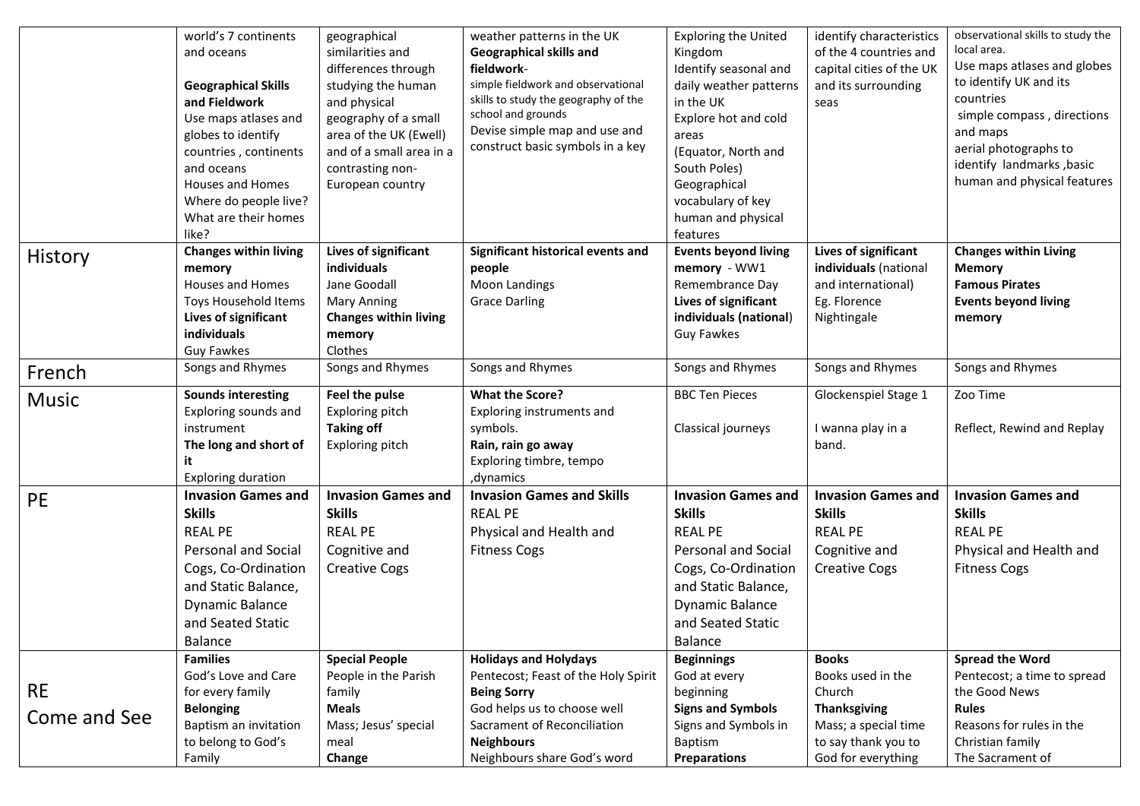|              | world's 7 continents         | geographical                 | weather patterns in the UK           | <b>Exploring the United</b> | identify characteristics  | observational skills to study the |
|--------------|------------------------------|------------------------------|--------------------------------------|-----------------------------|---------------------------|-----------------------------------|
|              | and oceans                   | similarities and             | Geographical skills and              | Kingdom                     | of the 4 countries and    | local area.                       |
|              |                              | differences through          | fieldwork-                           | Identify seasonal and       | capital cities of the UK  | Use maps atlases and globes       |
|              | <b>Geographical Skills</b>   | studying the human           | simple fieldwork and observational   | daily weather patterns      | and its surrounding       | to identify UK and its            |
|              | and Fieldwork                | and physical                 | skills to study the geography of the | in the UK                   | seas                      | countries                         |
|              | Use maps atlases and         | geography of a small         | school and grounds                   | Explore hot and cold        |                           | simple compass, directions        |
|              | globes to identify           | area of the UK (Ewell)       | Devise simple map and use and        | areas                       |                           | and maps                          |
|              | countries, continents        | and of a small area in a     | construct basic symbols in a key     | (Equator, North and         |                           | aerial photographs to             |
|              | and oceans                   | contrasting non-             |                                      | South Poles)                |                           | identify landmarks, basic         |
|              | <b>Houses and Homes</b>      | European country             |                                      | Geographical                |                           | human and physical features       |
|              | Where do people live?        |                              |                                      | vocabulary of key           |                           |                                   |
|              | What are their homes         |                              |                                      | human and physical          |                           |                                   |
|              | like?                        |                              |                                      | features                    |                           |                                   |
| History      | <b>Changes within living</b> | Lives of significant         | Significant historical events and    | <b>Events beyond living</b> | Lives of significant      | <b>Changes within Living</b>      |
|              | memory                       | <b>individuals</b>           | people                               | memory - WW1                | individuals (national     | <b>Memory</b>                     |
|              | <b>Houses and Homes</b>      | Jane Goodall                 | <b>Moon Landings</b>                 | Remembrance Day             | and international)        | <b>Famous Pirates</b>             |
|              | Toys Household Items         | <b>Mary Anning</b>           | <b>Grace Darling</b>                 | Lives of significant        | Eg. Florence              | <b>Events beyond living</b>       |
|              | Lives of significant         | <b>Changes within living</b> |                                      | individuals (national)      | Nightingale               | memory                            |
|              | individuals                  | memory                       |                                      | <b>Guy Fawkes</b>           |                           |                                   |
|              | <b>Guy Fawkes</b>            | Clothes                      |                                      |                             |                           |                                   |
| French       | Songs and Rhymes             | Songs and Rhymes             | Songs and Rhymes                     | Songs and Rhymes            | Songs and Rhymes          | Songs and Rhymes                  |
| <b>Music</b> | <b>Sounds interesting</b>    | Feel the pulse               | <b>What the Score?</b>               | <b>BBC Ten Pieces</b>       | Glockenspiel Stage 1      | Zoo Time                          |
|              | Exploring sounds and         | Exploring pitch              | Exploring instruments and            |                             |                           |                                   |
|              | instrument                   | <b>Taking off</b>            | symbols.                             | Classical journeys          | I wanna play in a         | Reflect, Rewind and Replay        |
|              | The long and short of        | Exploring pitch              | Rain, rain go away                   |                             | band.                     |                                   |
|              | it                           |                              | Exploring timbre, tempo              |                             |                           |                                   |
|              | <b>Exploring duration</b>    |                              | , dynamics                           |                             |                           |                                   |
| <b>PE</b>    | <b>Invasion Games and</b>    | <b>Invasion Games and</b>    | <b>Invasion Games and Skills</b>     | <b>Invasion Games and</b>   | <b>Invasion Games and</b> | <b>Invasion Games and</b>         |
|              | <b>Skills</b>                | <b>Skills</b>                | <b>REAL PE</b>                       | <b>Skills</b>               | <b>Skills</b>             | <b>Skills</b>                     |
|              | <b>REAL PE</b>               | <b>REAL PE</b>               | Physical and Health and              | <b>REAL PE</b>              | <b>REAL PE</b>            | <b>REAL PE</b>                    |
|              | <b>Personal and Social</b>   | Cognitive and                | <b>Fitness Cogs</b>                  | <b>Personal and Social</b>  | Cognitive and             | Physical and Health and           |
|              | Cogs, Co-Ordination          | <b>Creative Cogs</b>         |                                      | Cogs, Co-Ordination         | <b>Creative Cogs</b>      | <b>Fitness Cogs</b>               |
|              | and Static Balance,          |                              |                                      | and Static Balance,         |                           |                                   |
|              | <b>Dynamic Balance</b>       |                              |                                      | <b>Dynamic Balance</b>      |                           |                                   |
|              | and Seated Static            |                              |                                      | and Seated Static           |                           |                                   |
|              | Balance                      |                              |                                      | Balance                     |                           |                                   |
|              | <b>Families</b>              | <b>Special People</b>        | <b>Holidays and Holydays</b>         | <b>Beginnings</b>           | <b>Books</b>              | <b>Spread the Word</b>            |
|              | God's Love and Care          | People in the Parish         | Pentecost; Feast of the Holy Spirit  | God at every                | Books used in the         | Pentecost; a time to spread       |
| <b>RE</b>    | for every family             | family                       | <b>Being Sorry</b>                   | beginning                   | Church                    | the Good News                     |
|              | <b>Belonging</b>             | <b>Meals</b>                 | God helps us to choose well          | <b>Signs and Symbols</b>    | <b>Thanksgiving</b>       | <b>Rules</b>                      |
| Come and See | Baptism an invitation        | Mass; Jesus' special         | Sacrament of Reconciliation          | Signs and Symbols in        | Mass; a special time      | Reasons for rules in the          |
|              | to belong to God's           | meal                         | <b>Neighbours</b>                    | Baptism                     | to say thank you to       | Christian family                  |
|              | Family                       | Change                       | Neighbours share God's word          | <b>Preparations</b>         | God for everything        | The Sacrament of                  |